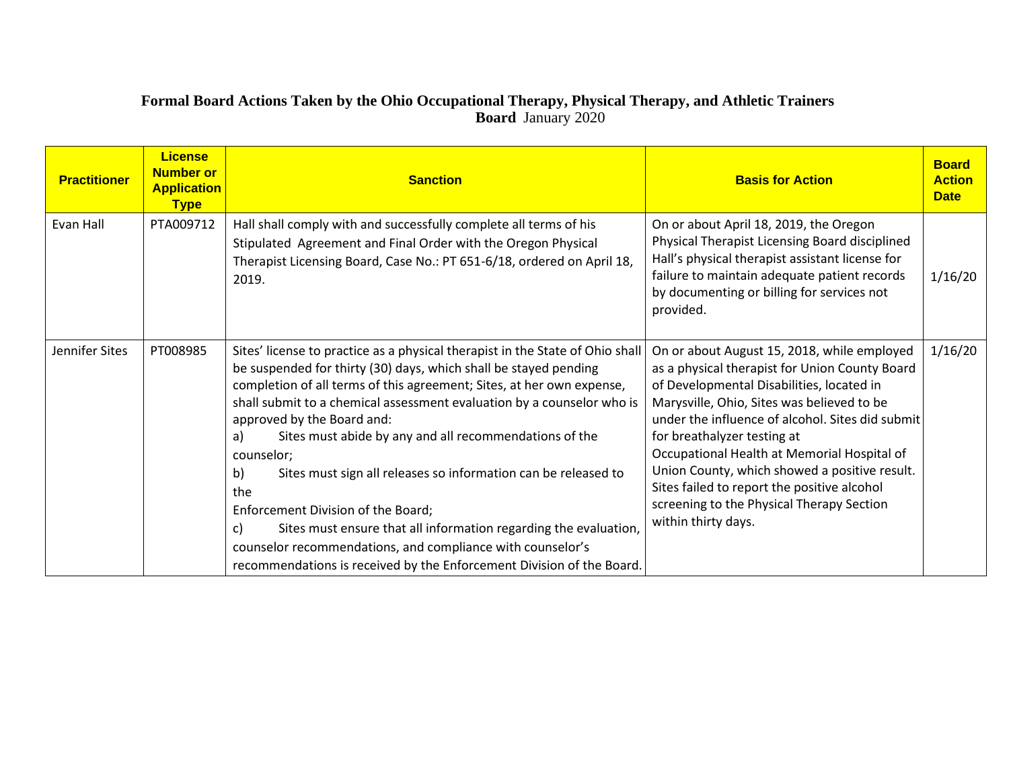### **Formal Board Actions Taken by the Ohio Occupational Therapy, Physical Therapy, and Athletic Trainers Board** January 2020

| <b>Practitioner</b> | <b>License</b><br><b>Number or</b><br><b>Application</b><br><b>Type</b> | <b>Sanction</b>                                                                                                                                                                                                                                                                                                                                                                                                                                                                                                                                                                                                                                                                                                                                        | <b>Basis for Action</b>                                                                                                                                                                                                                                                                                                                                                                                                                                                                        | <b>Board</b><br><b>Action</b><br><b>Date</b> |
|---------------------|-------------------------------------------------------------------------|--------------------------------------------------------------------------------------------------------------------------------------------------------------------------------------------------------------------------------------------------------------------------------------------------------------------------------------------------------------------------------------------------------------------------------------------------------------------------------------------------------------------------------------------------------------------------------------------------------------------------------------------------------------------------------------------------------------------------------------------------------|------------------------------------------------------------------------------------------------------------------------------------------------------------------------------------------------------------------------------------------------------------------------------------------------------------------------------------------------------------------------------------------------------------------------------------------------------------------------------------------------|----------------------------------------------|
| Evan Hall           | PTA009712                                                               | Hall shall comply with and successfully complete all terms of his<br>Stipulated Agreement and Final Order with the Oregon Physical<br>Therapist Licensing Board, Case No.: PT 651-6/18, ordered on April 18,<br>2019.                                                                                                                                                                                                                                                                                                                                                                                                                                                                                                                                  | On or about April 18, 2019, the Oregon<br>Physical Therapist Licensing Board disciplined<br>Hall's physical therapist assistant license for<br>failure to maintain adequate patient records<br>by documenting or billing for services not<br>provided.                                                                                                                                                                                                                                         | 1/16/20                                      |
| Jennifer Sites      | PT008985                                                                | Sites' license to practice as a physical therapist in the State of Ohio shall<br>be suspended for thirty (30) days, which shall be stayed pending<br>completion of all terms of this agreement; Sites, at her own expense,<br>shall submit to a chemical assessment evaluation by a counselor who is<br>approved by the Board and:<br>Sites must abide by any and all recommendations of the<br>a)<br>counselor;<br>b)<br>Sites must sign all releases so information can be released to<br>the<br>Enforcement Division of the Board;<br>Sites must ensure that all information regarding the evaluation,<br>c)<br>counselor recommendations, and compliance with counselor's<br>recommendations is received by the Enforcement Division of the Board. | On or about August 15, 2018, while employed<br>as a physical therapist for Union County Board<br>of Developmental Disabilities, located in<br>Marysville, Ohio, Sites was believed to be<br>under the influence of alcohol. Sites did submit<br>for breathalyzer testing at<br>Occupational Health at Memorial Hospital of<br>Union County, which showed a positive result.<br>Sites failed to report the positive alcohol<br>screening to the Physical Therapy Section<br>within thirty days. | 1/16/20                                      |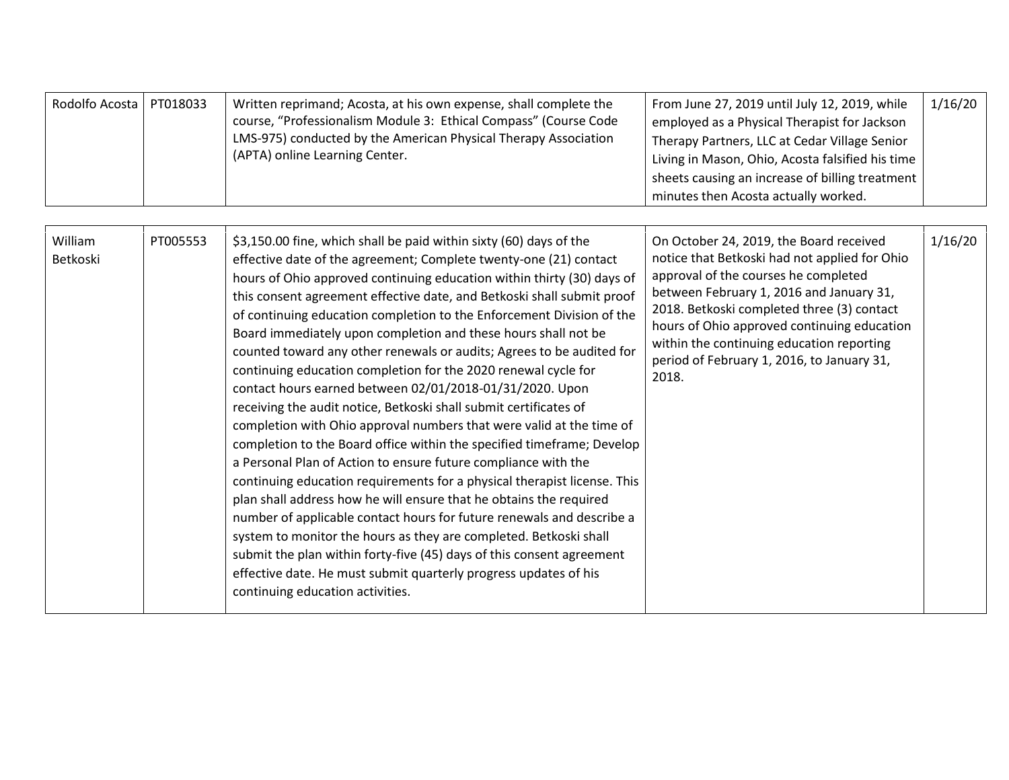| Rodolfo Acosta   PT018033 |  | Written reprimand; Acosta, at his own expense, shall complete the<br>course, "Professionalism Module 3: Ethical Compass" (Course Code<br>LMS-975) conducted by the American Physical Therapy Association<br>(APTA) online Learning Center. | From June 27, 2019 until July 12, 2019, while<br>employed as a Physical Therapist for Jackson<br>Therapy Partners, LLC at Cedar Village Senior<br>Living in Mason, Ohio, Acosta falsified his time<br>sheets causing an increase of billing treatment<br>minutes then Acosta actually worked. | 1/16/20 |
|---------------------------|--|--------------------------------------------------------------------------------------------------------------------------------------------------------------------------------------------------------------------------------------------|-----------------------------------------------------------------------------------------------------------------------------------------------------------------------------------------------------------------------------------------------------------------------------------------------|---------|
|---------------------------|--|--------------------------------------------------------------------------------------------------------------------------------------------------------------------------------------------------------------------------------------------|-----------------------------------------------------------------------------------------------------------------------------------------------------------------------------------------------------------------------------------------------------------------------------------------------|---------|

| William<br>Betkoski | PT005553 | \$3,150.00 fine, which shall be paid within sixty (60) days of the<br>effective date of the agreement; Complete twenty-one (21) contact<br>hours of Ohio approved continuing education within thirty (30) days of<br>this consent agreement effective date, and Betkoski shall submit proof<br>of continuing education completion to the Enforcement Division of the<br>Board immediately upon completion and these hours shall not be<br>counted toward any other renewals or audits; Agrees to be audited for<br>continuing education completion for the 2020 renewal cycle for<br>contact hours earned between 02/01/2018-01/31/2020. Upon<br>receiving the audit notice, Betkoski shall submit certificates of<br>completion with Ohio approval numbers that were valid at the time of<br>completion to the Board office within the specified timeframe; Develop<br>a Personal Plan of Action to ensure future compliance with the<br>continuing education requirements for a physical therapist license. This<br>plan shall address how he will ensure that he obtains the required<br>number of applicable contact hours for future renewals and describe a<br>system to monitor the hours as they are completed. Betkoski shall<br>submit the plan within forty-five (45) days of this consent agreement<br>effective date. He must submit quarterly progress updates of his<br>continuing education activities. | On October 24, 2019, the Board received<br>notice that Betkoski had not applied for Ohio<br>approval of the courses he completed<br>between February 1, 2016 and January 31,<br>2018. Betkoski completed three (3) contact<br>hours of Ohio approved continuing education<br>within the continuing education reporting<br>period of February 1, 2016, to January 31,<br>2018. | 1/16/20 |
|---------------------|----------|-------------------------------------------------------------------------------------------------------------------------------------------------------------------------------------------------------------------------------------------------------------------------------------------------------------------------------------------------------------------------------------------------------------------------------------------------------------------------------------------------------------------------------------------------------------------------------------------------------------------------------------------------------------------------------------------------------------------------------------------------------------------------------------------------------------------------------------------------------------------------------------------------------------------------------------------------------------------------------------------------------------------------------------------------------------------------------------------------------------------------------------------------------------------------------------------------------------------------------------------------------------------------------------------------------------------------------------------------------------------------------------------------------------------------|-------------------------------------------------------------------------------------------------------------------------------------------------------------------------------------------------------------------------------------------------------------------------------------------------------------------------------------------------------------------------------|---------|
|---------------------|----------|-------------------------------------------------------------------------------------------------------------------------------------------------------------------------------------------------------------------------------------------------------------------------------------------------------------------------------------------------------------------------------------------------------------------------------------------------------------------------------------------------------------------------------------------------------------------------------------------------------------------------------------------------------------------------------------------------------------------------------------------------------------------------------------------------------------------------------------------------------------------------------------------------------------------------------------------------------------------------------------------------------------------------------------------------------------------------------------------------------------------------------------------------------------------------------------------------------------------------------------------------------------------------------------------------------------------------------------------------------------------------------------------------------------------------|-------------------------------------------------------------------------------------------------------------------------------------------------------------------------------------------------------------------------------------------------------------------------------------------------------------------------------------------------------------------------------|---------|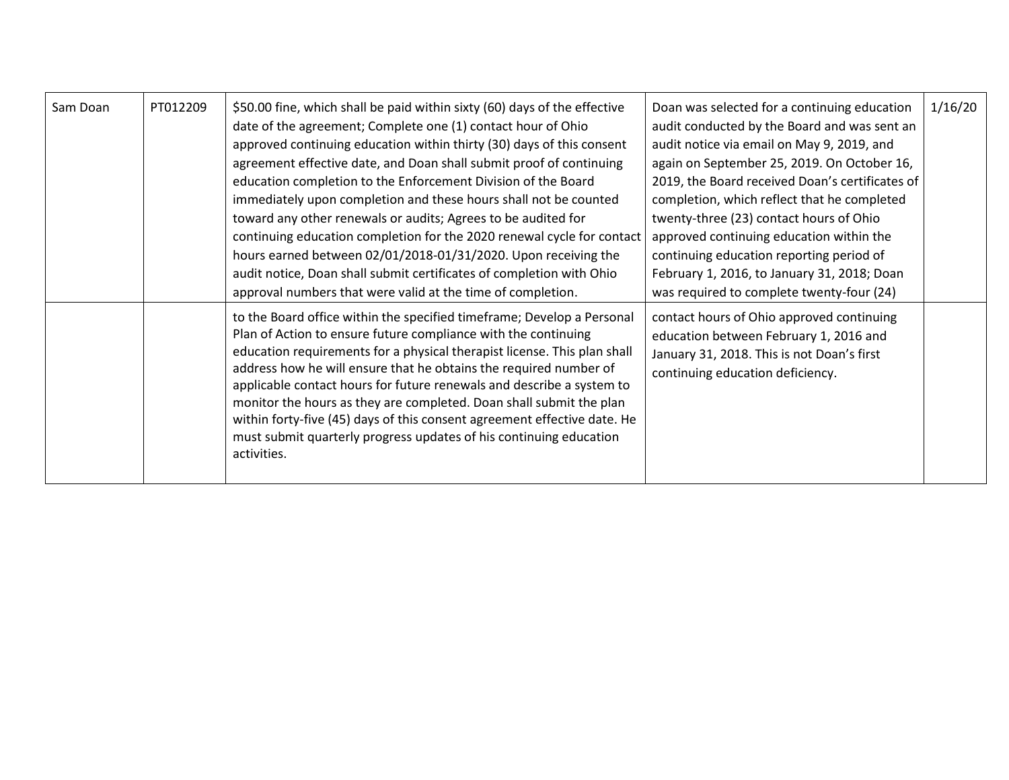| Sam Doan | PT012209 | \$50.00 fine, which shall be paid within sixty (60) days of the effective<br>date of the agreement; Complete one (1) contact hour of Ohio<br>approved continuing education within thirty (30) days of this consent<br>agreement effective date, and Doan shall submit proof of continuing<br>education completion to the Enforcement Division of the Board<br>immediately upon completion and these hours shall not be counted<br>toward any other renewals or audits; Agrees to be audited for<br>continuing education completion for the 2020 renewal cycle for contact<br>hours earned between 02/01/2018-01/31/2020. Upon receiving the<br>audit notice, Doan shall submit certificates of completion with Ohio<br>approval numbers that were valid at the time of completion. | Doan was selected for a continuing education<br>audit conducted by the Board and was sent an<br>audit notice via email on May 9, 2019, and<br>again on September 25, 2019. On October 16,<br>2019, the Board received Doan's certificates of<br>completion, which reflect that he completed<br>twenty-three (23) contact hours of Ohio<br>approved continuing education within the<br>continuing education reporting period of<br>February 1, 2016, to January 31, 2018; Doan<br>was required to complete twenty-four (24) | 1/16/20 |
|----------|----------|------------------------------------------------------------------------------------------------------------------------------------------------------------------------------------------------------------------------------------------------------------------------------------------------------------------------------------------------------------------------------------------------------------------------------------------------------------------------------------------------------------------------------------------------------------------------------------------------------------------------------------------------------------------------------------------------------------------------------------------------------------------------------------|----------------------------------------------------------------------------------------------------------------------------------------------------------------------------------------------------------------------------------------------------------------------------------------------------------------------------------------------------------------------------------------------------------------------------------------------------------------------------------------------------------------------------|---------|
|          |          | to the Board office within the specified timeframe; Develop a Personal<br>Plan of Action to ensure future compliance with the continuing<br>education requirements for a physical therapist license. This plan shall<br>address how he will ensure that he obtains the required number of<br>applicable contact hours for future renewals and describe a system to<br>monitor the hours as they are completed. Doan shall submit the plan<br>within forty-five (45) days of this consent agreement effective date. He<br>must submit quarterly progress updates of his continuing education<br>activities.                                                                                                                                                                         | contact hours of Ohio approved continuing<br>education between February 1, 2016 and<br>January 31, 2018. This is not Doan's first<br>continuing education deficiency.                                                                                                                                                                                                                                                                                                                                                      |         |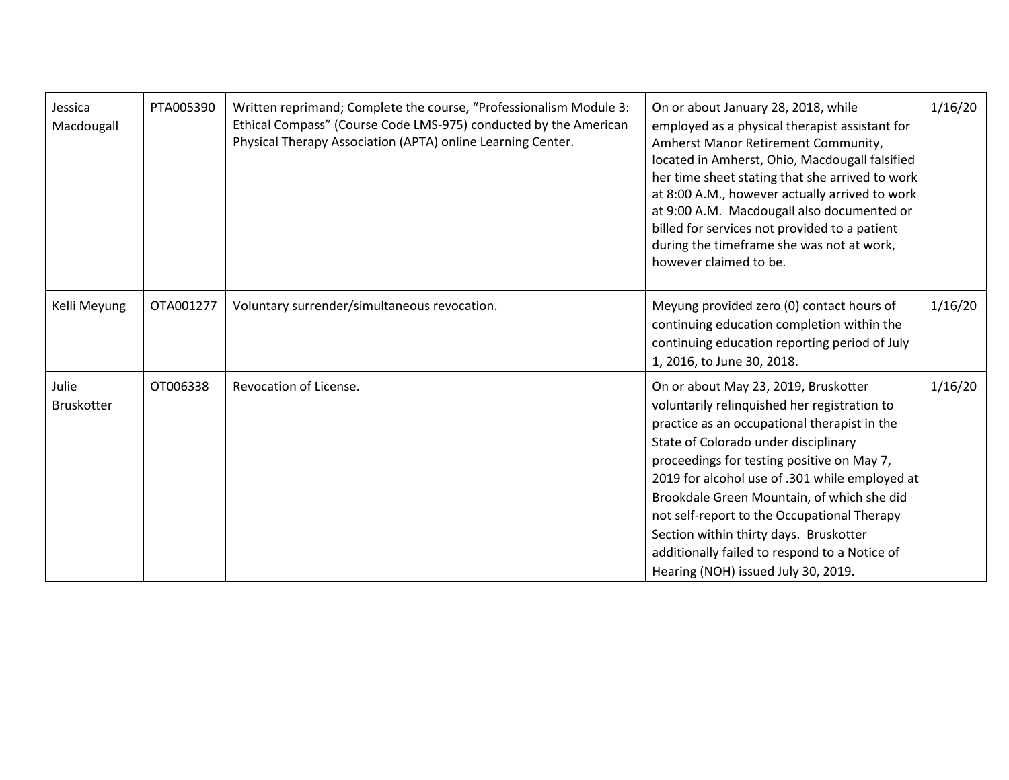| Jessica<br>Macdougall      | PTA005390 | Written reprimand; Complete the course, "Professionalism Module 3:<br>Ethical Compass" (Course Code LMS-975) conducted by the American<br>Physical Therapy Association (APTA) online Learning Center. | On or about January 28, 2018, while<br>employed as a physical therapist assistant for<br>Amherst Manor Retirement Community,<br>located in Amherst, Ohio, Macdougall falsified<br>her time sheet stating that she arrived to work<br>at 8:00 A.M., however actually arrived to work<br>at 9:00 A.M. Macdougall also documented or<br>billed for services not provided to a patient<br>during the timeframe she was not at work,<br>however claimed to be.                                                   | 1/16/20 |
|----------------------------|-----------|-------------------------------------------------------------------------------------------------------------------------------------------------------------------------------------------------------|-------------------------------------------------------------------------------------------------------------------------------------------------------------------------------------------------------------------------------------------------------------------------------------------------------------------------------------------------------------------------------------------------------------------------------------------------------------------------------------------------------------|---------|
| Kelli Meyung               | OTA001277 | Voluntary surrender/simultaneous revocation.                                                                                                                                                          | Meyung provided zero (0) contact hours of<br>continuing education completion within the<br>continuing education reporting period of July<br>1, 2016, to June 30, 2018.                                                                                                                                                                                                                                                                                                                                      | 1/16/20 |
| Julie<br><b>Bruskotter</b> | OT006338  | Revocation of License.                                                                                                                                                                                | On or about May 23, 2019, Bruskotter<br>voluntarily relinquished her registration to<br>practice as an occupational therapist in the<br>State of Colorado under disciplinary<br>proceedings for testing positive on May 7,<br>2019 for alcohol use of .301 while employed at<br>Brookdale Green Mountain, of which she did<br>not self-report to the Occupational Therapy<br>Section within thirty days. Bruskotter<br>additionally failed to respond to a Notice of<br>Hearing (NOH) issued July 30, 2019. | 1/16/20 |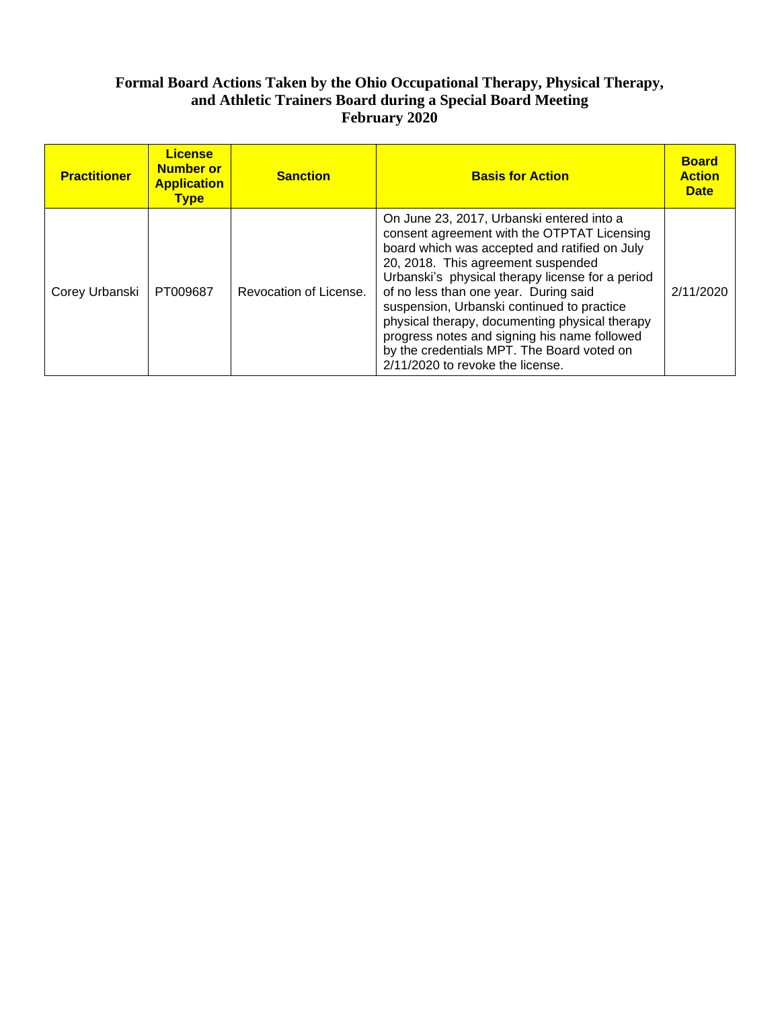## **Formal Board Actions Taken by the Ohio Occupational Therapy, Physical Therapy, and Athletic Trainers Board during a Special Board Meeting February 2020**

| <b>Practitioner</b> | <b>License</b><br><b>Number or</b><br><b>Application</b><br><b>Type</b> | <b>Sanction</b>        | <b>Basis for Action</b>                                                                                                                                                                                                                                                                                                                                                                                                                                                                                        | <b>Board</b><br><b>Action</b><br><b>Date</b> |
|---------------------|-------------------------------------------------------------------------|------------------------|----------------------------------------------------------------------------------------------------------------------------------------------------------------------------------------------------------------------------------------------------------------------------------------------------------------------------------------------------------------------------------------------------------------------------------------------------------------------------------------------------------------|----------------------------------------------|
| Corey Urbanski      | PT009687                                                                | Revocation of License. | On June 23, 2017, Urbanski entered into a<br>consent agreement with the OTPTAT Licensing<br>board which was accepted and ratified on July<br>20, 2018. This agreement suspended<br>Urbanski's physical therapy license for a period<br>of no less than one year. During said<br>suspension, Urbanski continued to practice<br>physical therapy, documenting physical therapy<br>progress notes and signing his name followed<br>by the credentials MPT. The Board voted on<br>2/11/2020 to revoke the license. | 2/11/2020                                    |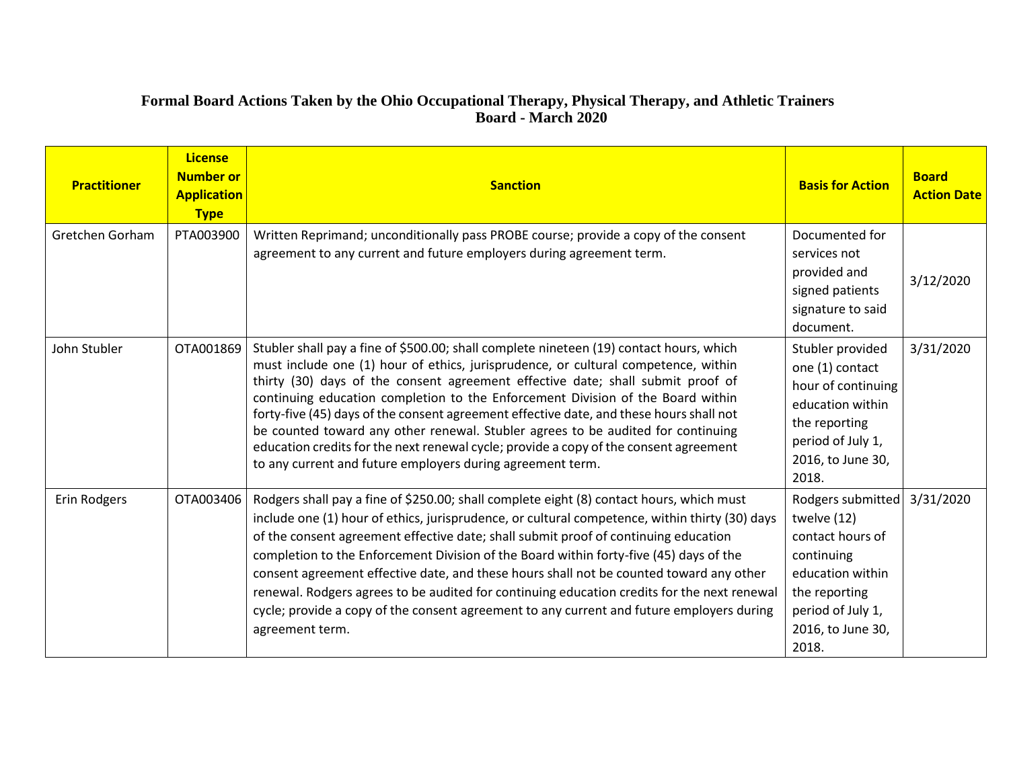# **Formal Board Actions Taken by the Ohio Occupational Therapy, Physical Therapy, and Athletic Trainers Board - March 2020**

<u> a shekara t</u>

| <b>Practitioner</b> | <b>License</b><br><b>Number or</b><br><b>Application</b><br><b>Type</b> | <b>Sanction</b>                                                                                                                                                                                                                                                                                                                                                                                                                                                                                                                                                                                                                                                                           | <b>Basis for Action</b>                                                                                                                                    | <b>Board</b><br><b>Action Date</b> |
|---------------------|-------------------------------------------------------------------------|-------------------------------------------------------------------------------------------------------------------------------------------------------------------------------------------------------------------------------------------------------------------------------------------------------------------------------------------------------------------------------------------------------------------------------------------------------------------------------------------------------------------------------------------------------------------------------------------------------------------------------------------------------------------------------------------|------------------------------------------------------------------------------------------------------------------------------------------------------------|------------------------------------|
| Gretchen Gorham     | PTA003900                                                               | Written Reprimand; unconditionally pass PROBE course; provide a copy of the consent<br>agreement to any current and future employers during agreement term.                                                                                                                                                                                                                                                                                                                                                                                                                                                                                                                               | Documented for<br>services not<br>provided and<br>signed patients<br>signature to said<br>document.                                                        | 3/12/2020                          |
| John Stubler        | OTA001869                                                               | Stubler shall pay a fine of \$500.00; shall complete nineteen (19) contact hours, which<br>must include one (1) hour of ethics, jurisprudence, or cultural competence, within<br>thirty (30) days of the consent agreement effective date; shall submit proof of<br>continuing education completion to the Enforcement Division of the Board within<br>forty-five (45) days of the consent agreement effective date, and these hours shall not<br>be counted toward any other renewal. Stubler agrees to be audited for continuing<br>education credits for the next renewal cycle; provide a copy of the consent agreement<br>to any current and future employers during agreement term. | Stubler provided<br>one (1) contact<br>hour of continuing<br>education within<br>the reporting<br>period of July 1,<br>2016, to June 30,<br>2018.          | 3/31/2020                          |
| Erin Rodgers        | OTA003406                                                               | Rodgers shall pay a fine of \$250.00; shall complete eight (8) contact hours, which must<br>include one (1) hour of ethics, jurisprudence, or cultural competence, within thirty (30) days<br>of the consent agreement effective date; shall submit proof of continuing education<br>completion to the Enforcement Division of the Board within forty-five (45) days of the<br>consent agreement effective date, and these hours shall not be counted toward any other<br>renewal. Rodgers agrees to be audited for continuing education credits for the next renewal<br>cycle; provide a copy of the consent agreement to any current and future employers during<br>agreement term.     | Rodgers submitted<br>twelve (12)<br>contact hours of<br>continuing<br>education within<br>the reporting<br>period of July 1,<br>2016, to June 30,<br>2018. | 3/31/2020                          |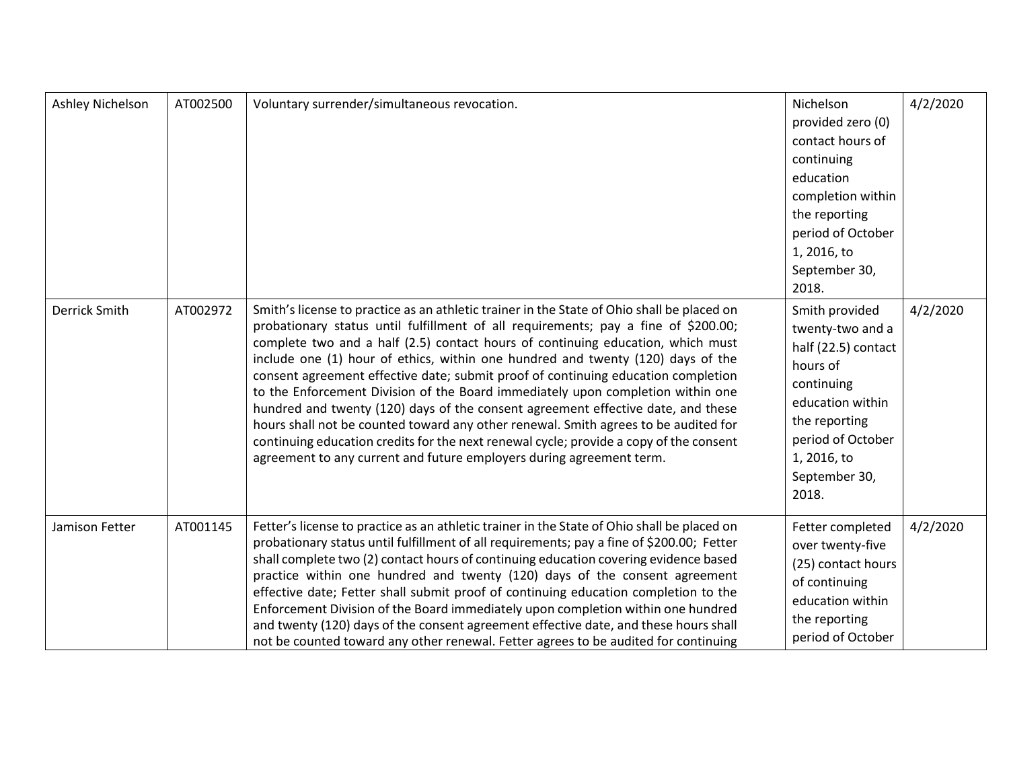| Ashley Nichelson     | AT002500 | Voluntary surrender/simultaneous revocation.                                                                                                                                                                                                                                                                                                                                                                                                                                                                                                                                                                                                                                                                                                                                                                                                                                | Nichelson<br>provided zero (0)<br>contact hours of<br>continuing<br>education<br>completion within<br>the reporting<br>period of October<br>1, 2016, to<br>September 30,<br>2018.      | 4/2/2020 |
|----------------------|----------|-----------------------------------------------------------------------------------------------------------------------------------------------------------------------------------------------------------------------------------------------------------------------------------------------------------------------------------------------------------------------------------------------------------------------------------------------------------------------------------------------------------------------------------------------------------------------------------------------------------------------------------------------------------------------------------------------------------------------------------------------------------------------------------------------------------------------------------------------------------------------------|----------------------------------------------------------------------------------------------------------------------------------------------------------------------------------------|----------|
| <b>Derrick Smith</b> | AT002972 | Smith's license to practice as an athletic trainer in the State of Ohio shall be placed on<br>probationary status until fulfillment of all requirements; pay a fine of \$200.00;<br>complete two and a half (2.5) contact hours of continuing education, which must<br>include one (1) hour of ethics, within one hundred and twenty (120) days of the<br>consent agreement effective date; submit proof of continuing education completion<br>to the Enforcement Division of the Board immediately upon completion within one<br>hundred and twenty (120) days of the consent agreement effective date, and these<br>hours shall not be counted toward any other renewal. Smith agrees to be audited for<br>continuing education credits for the next renewal cycle; provide a copy of the consent<br>agreement to any current and future employers during agreement term. | Smith provided<br>twenty-two and a<br>half (22.5) contact<br>hours of<br>continuing<br>education within<br>the reporting<br>period of October<br>1, 2016, to<br>September 30,<br>2018. | 4/2/2020 |
| Jamison Fetter       | AT001145 | Fetter's license to practice as an athletic trainer in the State of Ohio shall be placed on<br>probationary status until fulfillment of all requirements; pay a fine of \$200.00; Fetter<br>shall complete two (2) contact hours of continuing education covering evidence based<br>practice within one hundred and twenty (120) days of the consent agreement<br>effective date; Fetter shall submit proof of continuing education completion to the<br>Enforcement Division of the Board immediately upon completion within one hundred<br>and twenty (120) days of the consent agreement effective date, and these hours shall<br>not be counted toward any other renewal. Fetter agrees to be audited for continuing                                                                                                                                                    | Fetter completed<br>over twenty-five<br>(25) contact hours<br>of continuing<br>education within<br>the reporting<br>period of October                                                  | 4/2/2020 |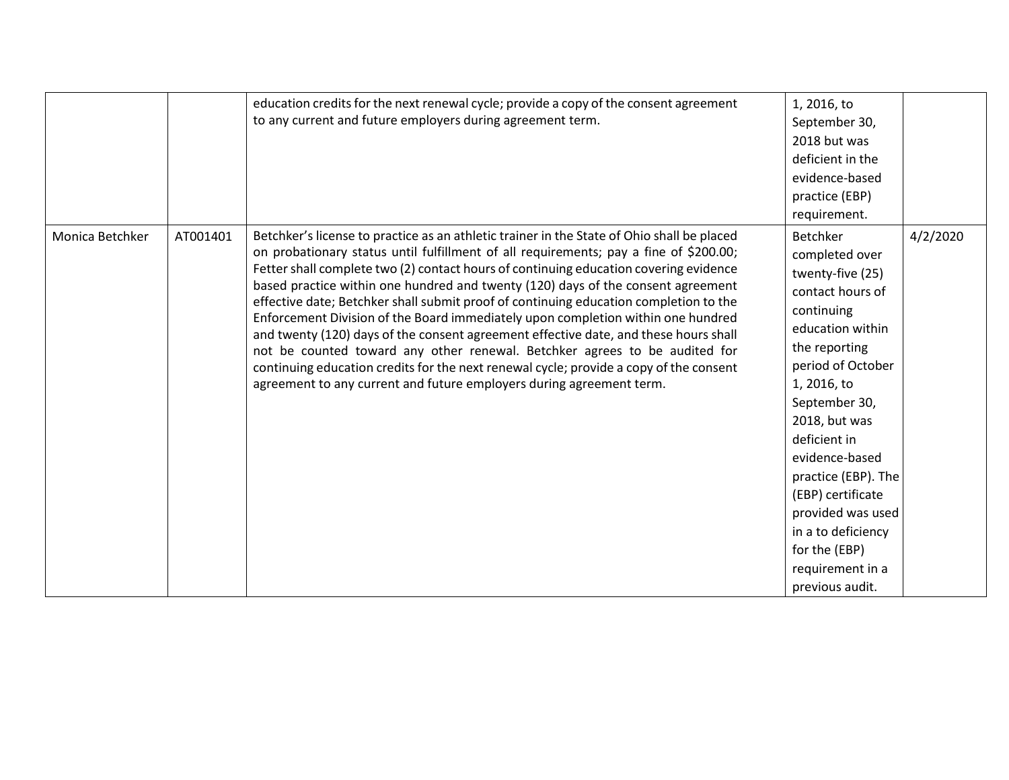|                 |          | education credits for the next renewal cycle; provide a copy of the consent agreement<br>to any current and future employers during agreement term.                                                                                                                                                                                                                                                                                                                                                                                                                                                                                                                                                                                                                                                                                                                                   | 1, 2016, to<br>September 30,<br>2018 but was<br>deficient in the<br>evidence-based<br>practice (EBP)<br>requirement.                                                                                                                                                                                                                                                                |          |
|-----------------|----------|---------------------------------------------------------------------------------------------------------------------------------------------------------------------------------------------------------------------------------------------------------------------------------------------------------------------------------------------------------------------------------------------------------------------------------------------------------------------------------------------------------------------------------------------------------------------------------------------------------------------------------------------------------------------------------------------------------------------------------------------------------------------------------------------------------------------------------------------------------------------------------------|-------------------------------------------------------------------------------------------------------------------------------------------------------------------------------------------------------------------------------------------------------------------------------------------------------------------------------------------------------------------------------------|----------|
| Monica Betchker | AT001401 | Betchker's license to practice as an athletic trainer in the State of Ohio shall be placed<br>on probationary status until fulfillment of all requirements; pay a fine of \$200.00;<br>Fetter shall complete two (2) contact hours of continuing education covering evidence<br>based practice within one hundred and twenty (120) days of the consent agreement<br>effective date; Betchker shall submit proof of continuing education completion to the<br>Enforcement Division of the Board immediately upon completion within one hundred<br>and twenty (120) days of the consent agreement effective date, and these hours shall<br>not be counted toward any other renewal. Betchker agrees to be audited for<br>continuing education credits for the next renewal cycle; provide a copy of the consent<br>agreement to any current and future employers during agreement term. | <b>Betchker</b><br>completed over<br>twenty-five (25)<br>contact hours of<br>continuing<br>education within<br>the reporting<br>period of October<br>1, 2016, to<br>September 30,<br>2018, but was<br>deficient in<br>evidence-based<br>practice (EBP). The<br>(EBP) certificate<br>provided was used<br>in a to deficiency<br>for the (EBP)<br>requirement in a<br>previous audit. | 4/2/2020 |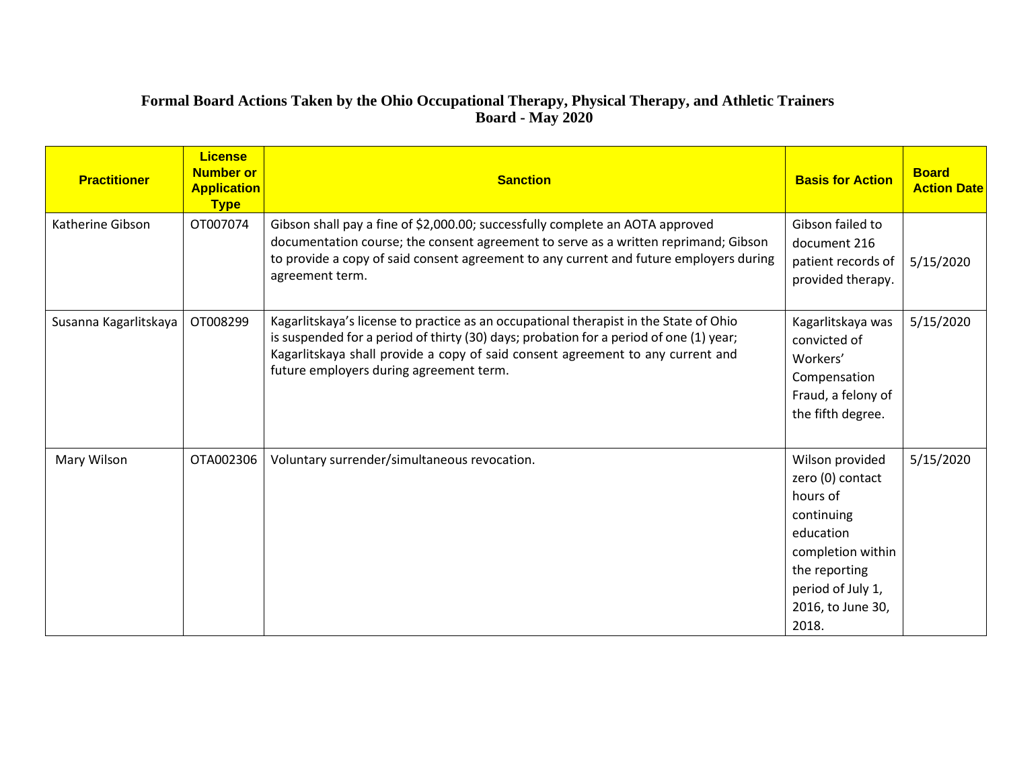### **Formal Board Actions Taken by the Ohio Occupational Therapy, Physical Therapy, and Athletic Trainers Board - May 2020**

| <b>Practitioner</b>   | <b>License</b><br><b>Number or</b><br><b>Application</b><br><b>Type</b> | <b>Sanction</b>                                                                                                                                                                                                                                                                                               | <b>Basis for Action</b>                                                                                                                                             | <b>Board</b><br><b>Action Date</b> |
|-----------------------|-------------------------------------------------------------------------|---------------------------------------------------------------------------------------------------------------------------------------------------------------------------------------------------------------------------------------------------------------------------------------------------------------|---------------------------------------------------------------------------------------------------------------------------------------------------------------------|------------------------------------|
| Katherine Gibson      | OT007074                                                                | Gibson shall pay a fine of \$2,000.00; successfully complete an AOTA approved<br>documentation course; the consent agreement to serve as a written reprimand; Gibson<br>to provide a copy of said consent agreement to any current and future employers during<br>agreement term.                             | Gibson failed to<br>document 216<br>patient records of<br>provided therapy.                                                                                         | 5/15/2020                          |
| Susanna Kagarlitskaya | OT008299                                                                | Kagarlitskaya's license to practice as an occupational therapist in the State of Ohio<br>is suspended for a period of thirty (30) days; probation for a period of one (1) year;<br>Kagarlitskaya shall provide a copy of said consent agreement to any current and<br>future employers during agreement term. | Kagarlitskaya was<br>convicted of<br>Workers'<br>Compensation<br>Fraud, a felony of<br>the fifth degree.                                                            | 5/15/2020                          |
| Mary Wilson           | OTA002306                                                               | Voluntary surrender/simultaneous revocation.                                                                                                                                                                                                                                                                  | Wilson provided<br>zero (0) contact<br>hours of<br>continuing<br>education<br>completion within<br>the reporting<br>period of July 1,<br>2016, to June 30,<br>2018. | 5/15/2020                          |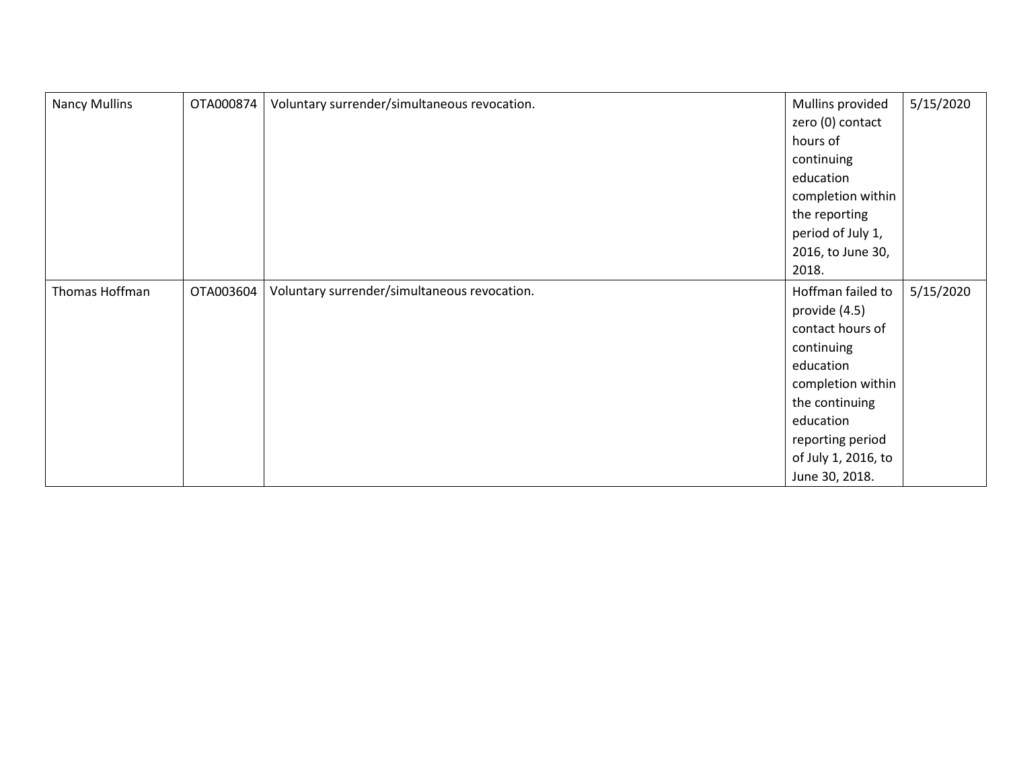| <b>Nancy Mullins</b> | OTA000874 | Voluntary surrender/simultaneous revocation. | Mullins provided    | 5/15/2020 |
|----------------------|-----------|----------------------------------------------|---------------------|-----------|
|                      |           |                                              | zero (0) contact    |           |
|                      |           |                                              | hours of            |           |
|                      |           |                                              | continuing          |           |
|                      |           |                                              | education           |           |
|                      |           |                                              | completion within   |           |
|                      |           |                                              | the reporting       |           |
|                      |           |                                              | period of July 1,   |           |
|                      |           |                                              | 2016, to June 30,   |           |
|                      |           |                                              | 2018.               |           |
| Thomas Hoffman       | OTA003604 | Voluntary surrender/simultaneous revocation. | Hoffman failed to   | 5/15/2020 |
|                      |           |                                              | provide (4.5)       |           |
|                      |           |                                              | contact hours of    |           |
|                      |           |                                              | continuing          |           |
|                      |           |                                              | education           |           |
|                      |           |                                              | completion within   |           |
|                      |           |                                              | the continuing      |           |
|                      |           |                                              | education           |           |
|                      |           |                                              | reporting period    |           |
|                      |           |                                              | of July 1, 2016, to |           |
|                      |           |                                              | June 30, 2018.      |           |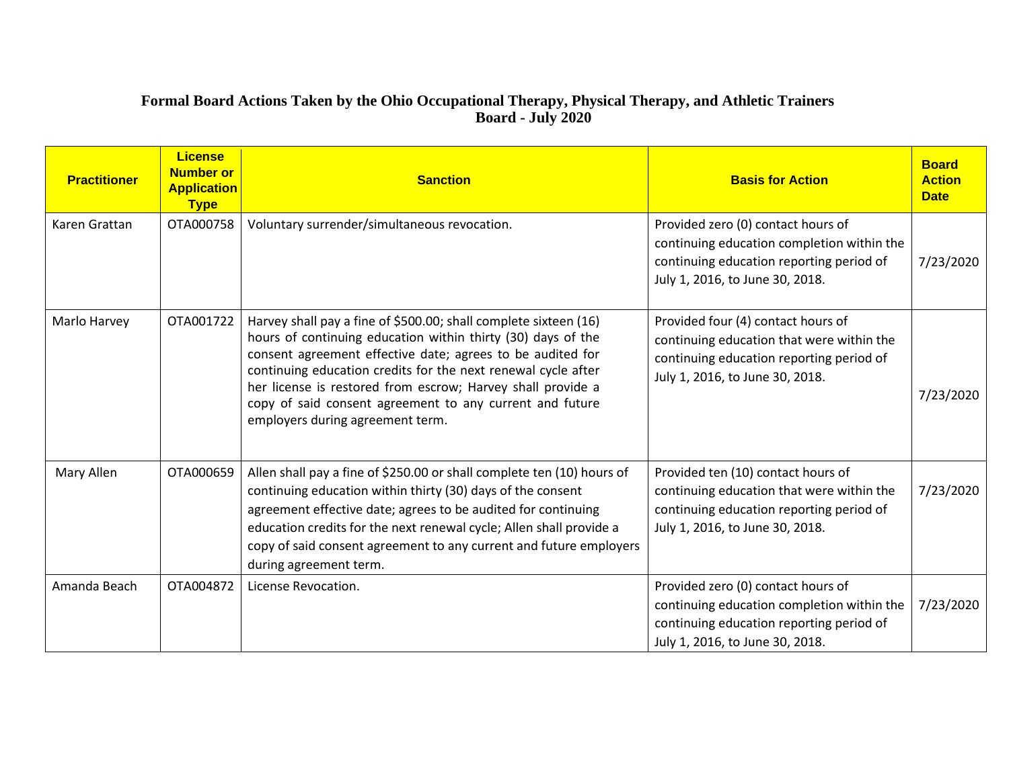#### **Formal Board Actions Taken by the Ohio Occupational Therapy, Physical Therapy, and Athletic Trainers Board - July 2020**

| <b>Practitioner</b> | License<br><b>Number or</b><br><b>Application</b><br><b>Type</b> | <b>Sanction</b>                                                                                                                                                                                                                                                                                                                                                                                                                | <b>Basis for Action</b>                                                                                                                                         | <b>Board</b><br><b>Action</b><br><b>Date</b> |
|---------------------|------------------------------------------------------------------|--------------------------------------------------------------------------------------------------------------------------------------------------------------------------------------------------------------------------------------------------------------------------------------------------------------------------------------------------------------------------------------------------------------------------------|-----------------------------------------------------------------------------------------------------------------------------------------------------------------|----------------------------------------------|
| Karen Grattan       | OTA000758                                                        | Voluntary surrender/simultaneous revocation.                                                                                                                                                                                                                                                                                                                                                                                   | Provided zero (0) contact hours of<br>continuing education completion within the<br>continuing education reporting period of<br>July 1, 2016, to June 30, 2018. | 7/23/2020                                    |
| Marlo Harvey        | OTA001722                                                        | Harvey shall pay a fine of \$500.00; shall complete sixteen (16)<br>hours of continuing education within thirty (30) days of the<br>consent agreement effective date; agrees to be audited for<br>continuing education credits for the next renewal cycle after<br>her license is restored from escrow; Harvey shall provide a<br>copy of said consent agreement to any current and future<br>employers during agreement term. | Provided four (4) contact hours of<br>continuing education that were within the<br>continuing education reporting period of<br>July 1, 2016, to June 30, 2018.  | 7/23/2020                                    |
| Mary Allen          | OTA000659                                                        | Allen shall pay a fine of \$250.00 or shall complete ten (10) hours of<br>continuing education within thirty (30) days of the consent<br>agreement effective date; agrees to be audited for continuing<br>education credits for the next renewal cycle; Allen shall provide a<br>copy of said consent agreement to any current and future employers<br>during agreement term.                                                  | Provided ten (10) contact hours of<br>continuing education that were within the<br>continuing education reporting period of<br>July 1, 2016, to June 30, 2018.  | 7/23/2020                                    |
| Amanda Beach        | OTA004872                                                        | License Revocation.                                                                                                                                                                                                                                                                                                                                                                                                            | Provided zero (0) contact hours of<br>continuing education completion within the<br>continuing education reporting period of<br>July 1, 2016, to June 30, 2018. | 7/23/2020                                    |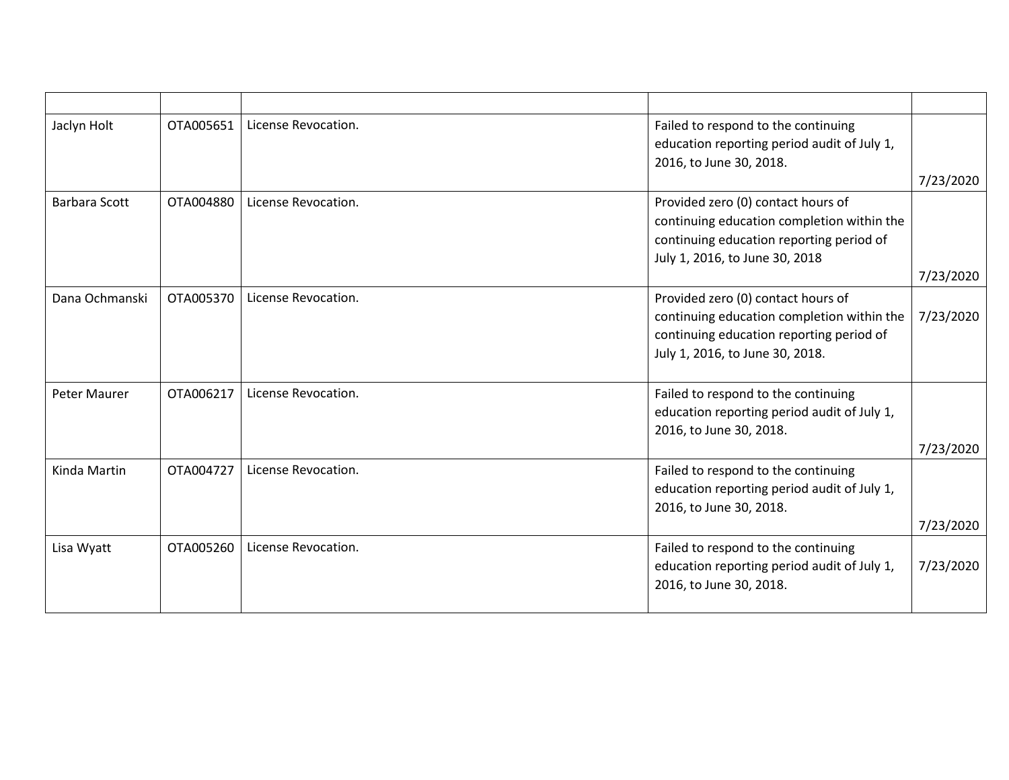| Jaclyn Holt          | OTA005651 | License Revocation. | Failed to respond to the continuing<br>education reporting period audit of July 1,<br>2016, to June 30, 2018.                                                   | 7/23/2020 |
|----------------------|-----------|---------------------|-----------------------------------------------------------------------------------------------------------------------------------------------------------------|-----------|
| <b>Barbara Scott</b> | OTA004880 | License Revocation. | Provided zero (0) contact hours of<br>continuing education completion within the<br>continuing education reporting period of<br>July 1, 2016, to June 30, 2018  | 7/23/2020 |
| Dana Ochmanski       | OTA005370 | License Revocation. | Provided zero (0) contact hours of<br>continuing education completion within the<br>continuing education reporting period of<br>July 1, 2016, to June 30, 2018. | 7/23/2020 |
| Peter Maurer         | OTA006217 | License Revocation. | Failed to respond to the continuing<br>education reporting period audit of July 1,<br>2016, to June 30, 2018.                                                   | 7/23/2020 |
| Kinda Martin         | OTA004727 | License Revocation. | Failed to respond to the continuing<br>education reporting period audit of July 1,<br>2016, to June 30, 2018.                                                   | 7/23/2020 |
| Lisa Wyatt           | OTA005260 | License Revocation. | Failed to respond to the continuing<br>education reporting period audit of July 1,<br>2016, to June 30, 2018.                                                   | 7/23/2020 |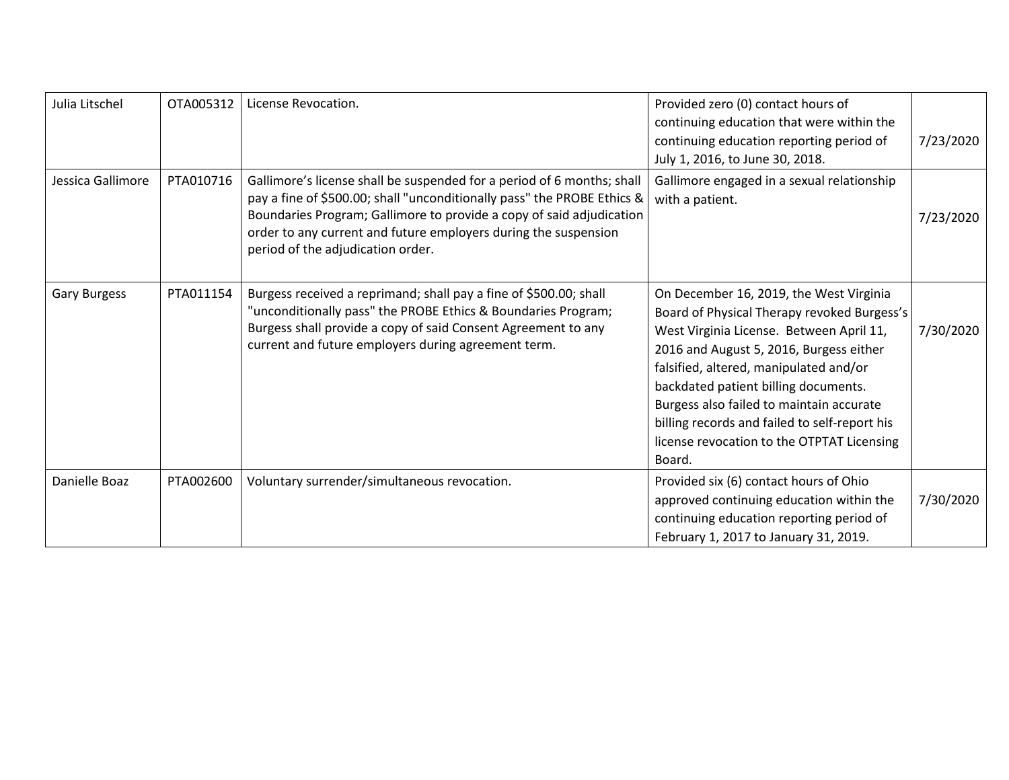| Julia Litschel      | OTA005312 | License Revocation.                                                                                                                                                                                                                                                                                                               | Provided zero (0) contact hours of<br>continuing education that were within the<br>continuing education reporting period of<br>July 1, 2016, to June 30, 2018.                                                                                                                                                                                                                                                       | 7/23/2020 |
|---------------------|-----------|-----------------------------------------------------------------------------------------------------------------------------------------------------------------------------------------------------------------------------------------------------------------------------------------------------------------------------------|----------------------------------------------------------------------------------------------------------------------------------------------------------------------------------------------------------------------------------------------------------------------------------------------------------------------------------------------------------------------------------------------------------------------|-----------|
| Jessica Gallimore   | PTA010716 | Gallimore's license shall be suspended for a period of 6 months; shall<br>pay a fine of \$500.00; shall "unconditionally pass" the PROBE Ethics &<br>Boundaries Program; Gallimore to provide a copy of said adjudication<br>order to any current and future employers during the suspension<br>period of the adjudication order. | Gallimore engaged in a sexual relationship<br>with a patient.                                                                                                                                                                                                                                                                                                                                                        | 7/23/2020 |
| <b>Gary Burgess</b> | PTA011154 | Burgess received a reprimand; shall pay a fine of \$500.00; shall<br>"unconditionally pass" the PROBE Ethics & Boundaries Program;<br>Burgess shall provide a copy of said Consent Agreement to any<br>current and future employers during agreement term.                                                                        | On December 16, 2019, the West Virginia<br>Board of Physical Therapy revoked Burgess's<br>West Virginia License. Between April 11,<br>2016 and August 5, 2016, Burgess either<br>falsified, altered, manipulated and/or<br>backdated patient billing documents.<br>Burgess also failed to maintain accurate<br>billing records and failed to self-report his<br>license revocation to the OTPTAT Licensing<br>Board. | 7/30/2020 |
| Danielle Boaz       | PTA002600 | Voluntary surrender/simultaneous revocation.                                                                                                                                                                                                                                                                                      | Provided six (6) contact hours of Ohio<br>approved continuing education within the<br>continuing education reporting period of<br>February 1, 2017 to January 31, 2019.                                                                                                                                                                                                                                              | 7/30/2020 |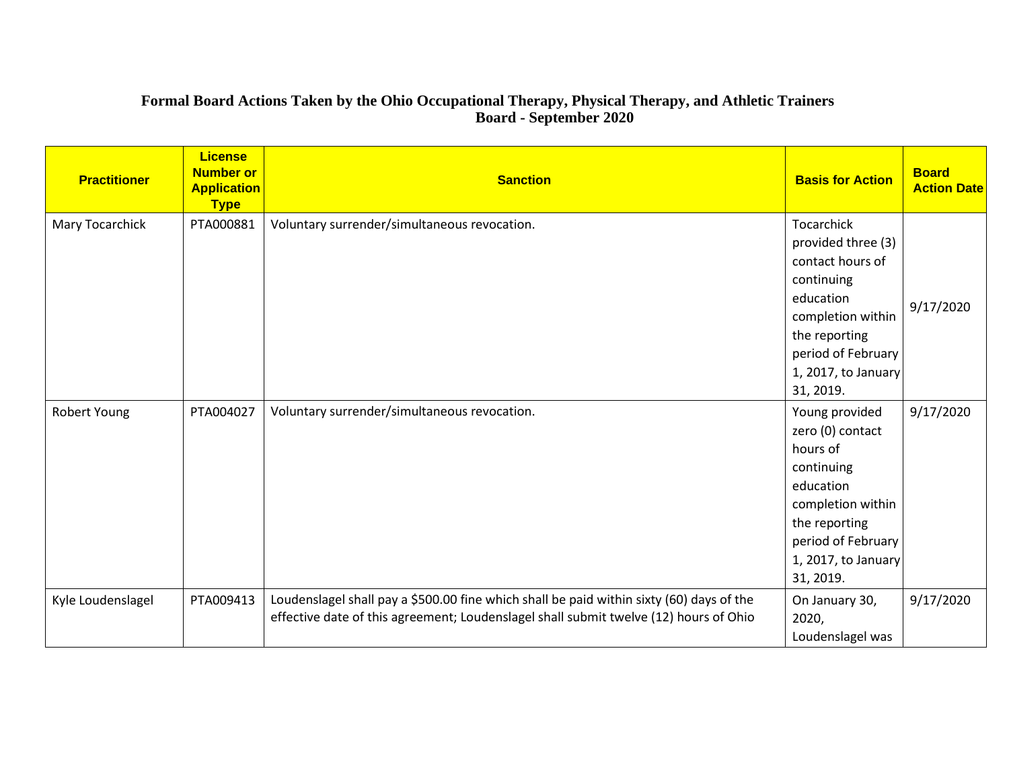#### **Formal Board Actions Taken by the Ohio Occupational Therapy, Physical Therapy, and Athletic Trainers Board - September 2020**

| <b>Practitioner</b> | <b>License</b><br><b>Number or</b><br><b>Application</b><br><b>Type</b> | <b>Sanction</b>                                                                                                                                                                   | <b>Basis for Action</b>                                                                                                                                                   | <b>Board</b><br><b>Action Date</b> |
|---------------------|-------------------------------------------------------------------------|-----------------------------------------------------------------------------------------------------------------------------------------------------------------------------------|---------------------------------------------------------------------------------------------------------------------------------------------------------------------------|------------------------------------|
| Mary Tocarchick     | PTA000881                                                               | Voluntary surrender/simultaneous revocation.                                                                                                                                      | Tocarchick<br>provided three (3)<br>contact hours of<br>continuing                                                                                                        |                                    |
|                     |                                                                         |                                                                                                                                                                                   | education<br>completion within<br>the reporting<br>period of February                                                                                                     | 9/17/2020                          |
|                     |                                                                         |                                                                                                                                                                                   | 1, 2017, to January<br>31, 2019.                                                                                                                                          |                                    |
| Robert Young        | PTA004027                                                               | Voluntary surrender/simultaneous revocation.                                                                                                                                      | Young provided<br>zero (0) contact<br>hours of<br>continuing<br>education<br>completion within<br>the reporting<br>period of February<br>1, 2017, to January<br>31, 2019. | 9/17/2020                          |
| Kyle Loudenslagel   | PTA009413                                                               | Loudenslagel shall pay a \$500.00 fine which shall be paid within sixty (60) days of the<br>effective date of this agreement; Loudenslagel shall submit twelve (12) hours of Ohio | On January 30,<br>2020,<br>Loudenslagel was                                                                                                                               | 9/17/2020                          |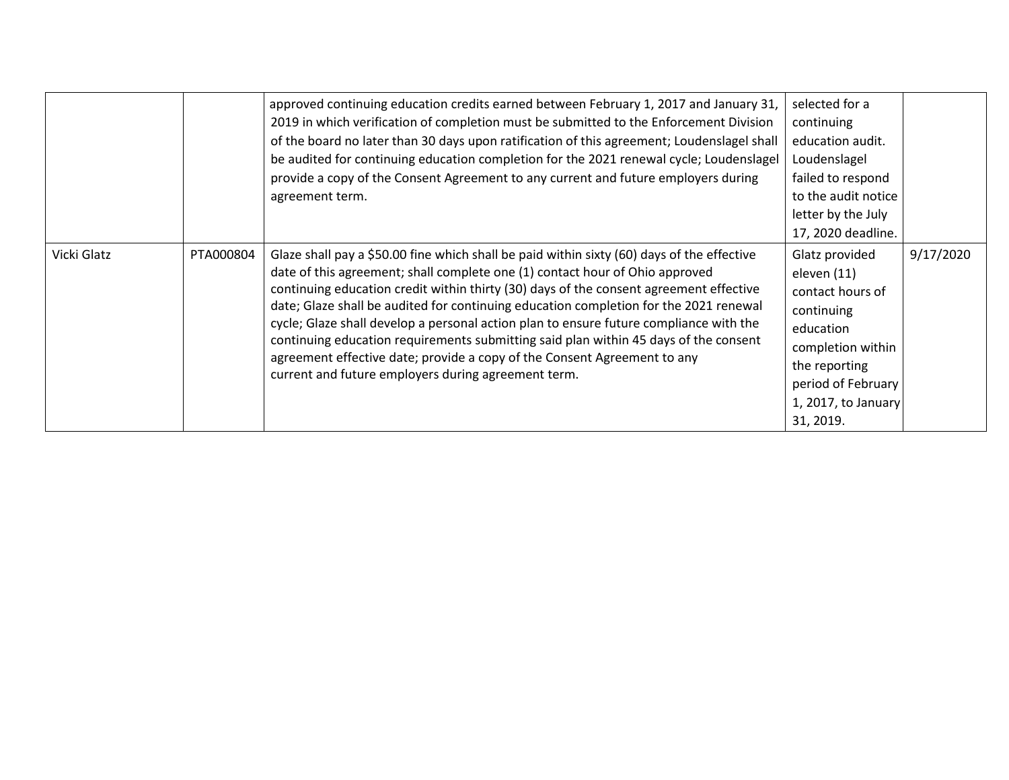|             |           | approved continuing education credits earned between February 1, 2017 and January 31,<br>2019 in which verification of completion must be submitted to the Enforcement Division<br>of the board no later than 30 days upon ratification of this agreement; Loudenslagel shall<br>be audited for continuing education completion for the 2021 renewal cycle; Loudenslagel<br>provide a copy of the Consent Agreement to any current and future employers during<br>agreement term.                                                                                                                                                                                                  | selected for a<br>continuing<br>education audit.<br>Loudenslagel<br>failed to respond<br>to the audit notice<br>letter by the July<br>17, 2020 deadline.                     |           |
|-------------|-----------|------------------------------------------------------------------------------------------------------------------------------------------------------------------------------------------------------------------------------------------------------------------------------------------------------------------------------------------------------------------------------------------------------------------------------------------------------------------------------------------------------------------------------------------------------------------------------------------------------------------------------------------------------------------------------------|------------------------------------------------------------------------------------------------------------------------------------------------------------------------------|-----------|
| Vicki Glatz | PTA000804 | Glaze shall pay a \$50.00 fine which shall be paid within sixty (60) days of the effective<br>date of this agreement; shall complete one (1) contact hour of Ohio approved<br>continuing education credit within thirty (30) days of the consent agreement effective<br>date; Glaze shall be audited for continuing education completion for the 2021 renewal<br>cycle; Glaze shall develop a personal action plan to ensure future compliance with the<br>continuing education requirements submitting said plan within 45 days of the consent<br>agreement effective date; provide a copy of the Consent Agreement to any<br>current and future employers during agreement term. | Glatz provided<br>eleven (11)<br>contact hours of<br>continuing<br>education<br>completion within<br>the reporting<br>period of February<br>1, 2017, to January<br>31, 2019. | 9/17/2020 |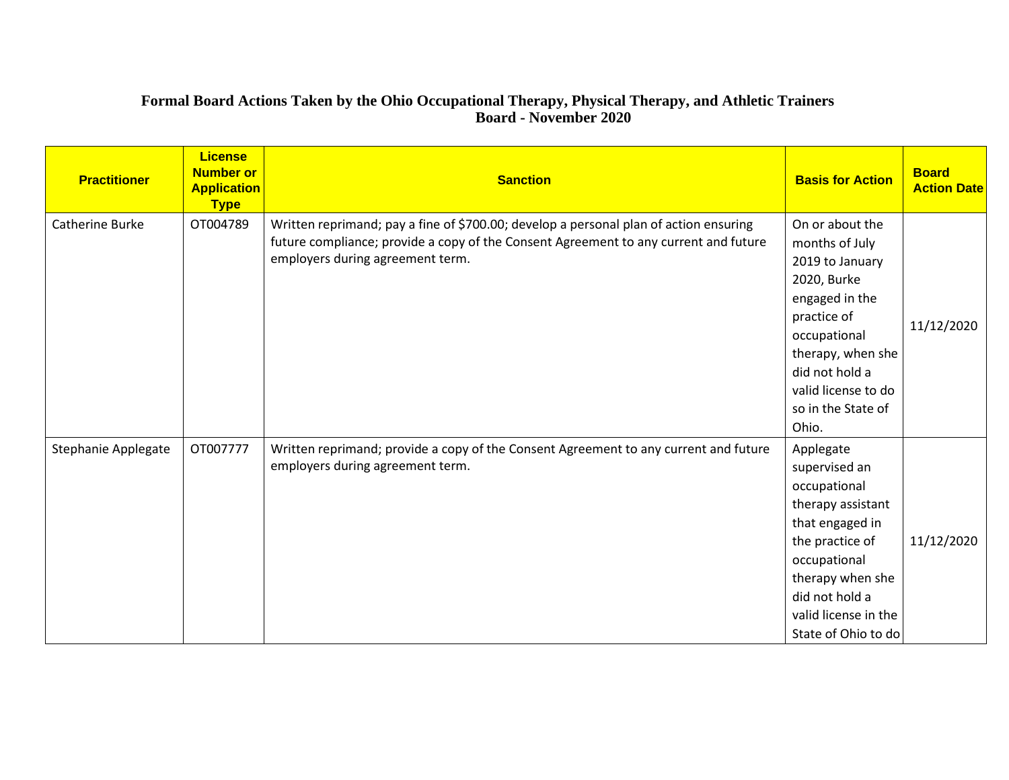# **Formal Board Actions Taken by the Ohio Occupational Therapy, Physical Therapy, and Athletic Trainers Board - November 2020**

| <b>Practitioner</b> | <b>License</b><br><b>Number or</b><br><b>Application</b><br><b>Type</b> | <b>Sanction</b>                                                                                                                                                                                                   | <b>Basis for Action</b>                                                                                                                                                                                           | <b>Board</b><br><b>Action Date</b> |
|---------------------|-------------------------------------------------------------------------|-------------------------------------------------------------------------------------------------------------------------------------------------------------------------------------------------------------------|-------------------------------------------------------------------------------------------------------------------------------------------------------------------------------------------------------------------|------------------------------------|
| Catherine Burke     | OT004789                                                                | Written reprimand; pay a fine of \$700.00; develop a personal plan of action ensuring<br>future compliance; provide a copy of the Consent Agreement to any current and future<br>employers during agreement term. | On or about the<br>months of July<br>2019 to January<br>2020, Burke<br>engaged in the<br>practice of<br>occupational<br>therapy, when she<br>did not hold a<br>valid license to do<br>so in the State of<br>Ohio. | 11/12/2020                         |
| Stephanie Applegate | OT007777                                                                | Written reprimand; provide a copy of the Consent Agreement to any current and future<br>employers during agreement term.                                                                                          | Applegate<br>supervised an<br>occupational<br>therapy assistant<br>that engaged in<br>the practice of<br>occupational<br>therapy when she<br>did not hold a<br>valid license in the<br>State of Ohio to do        | 11/12/2020                         |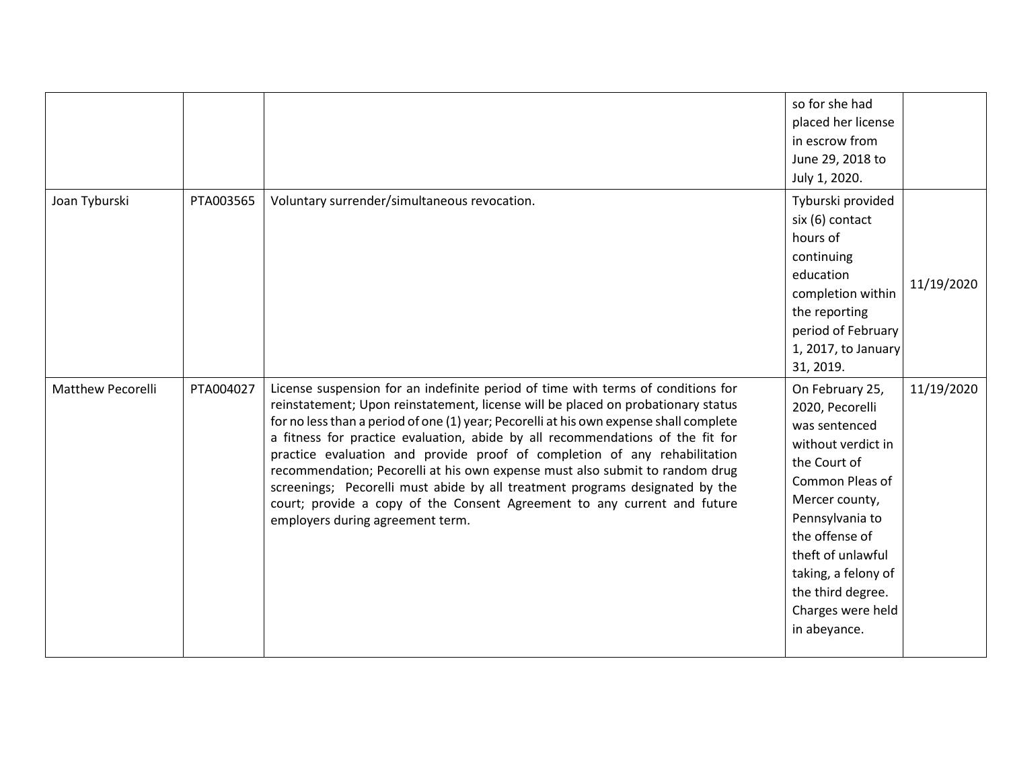|                          |           |                                                                                                                                                                                                                                                                                                                                                                                                                                                                                                                                                                                                                                                                                                               | so for she had<br>placed her license<br>in escrow from<br>June 29, 2018 to<br>July 1, 2020.                                                                                                                                                                               |            |
|--------------------------|-----------|---------------------------------------------------------------------------------------------------------------------------------------------------------------------------------------------------------------------------------------------------------------------------------------------------------------------------------------------------------------------------------------------------------------------------------------------------------------------------------------------------------------------------------------------------------------------------------------------------------------------------------------------------------------------------------------------------------------|---------------------------------------------------------------------------------------------------------------------------------------------------------------------------------------------------------------------------------------------------------------------------|------------|
| Joan Tyburski            | PTA003565 | Voluntary surrender/simultaneous revocation.                                                                                                                                                                                                                                                                                                                                                                                                                                                                                                                                                                                                                                                                  | Tyburski provided<br>six (6) contact<br>hours of<br>continuing<br>education<br>completion within<br>the reporting<br>period of February<br>1, 2017, to January<br>31, 2019.                                                                                               | 11/19/2020 |
| <b>Matthew Pecorelli</b> | PTA004027 | License suspension for an indefinite period of time with terms of conditions for<br>reinstatement; Upon reinstatement, license will be placed on probationary status<br>for no less than a period of one (1) year; Pecorelli at his own expense shall complete<br>a fitness for practice evaluation, abide by all recommendations of the fit for<br>practice evaluation and provide proof of completion of any rehabilitation<br>recommendation; Pecorelli at his own expense must also submit to random drug<br>screenings; Pecorelli must abide by all treatment programs designated by the<br>court; provide a copy of the Consent Agreement to any current and future<br>employers during agreement term. | On February 25,<br>2020, Pecorelli<br>was sentenced<br>without verdict in<br>the Court of<br>Common Pleas of<br>Mercer county,<br>Pennsylvania to<br>the offense of<br>theft of unlawful<br>taking, a felony of<br>the third degree.<br>Charges were held<br>in abeyance. | 11/19/2020 |